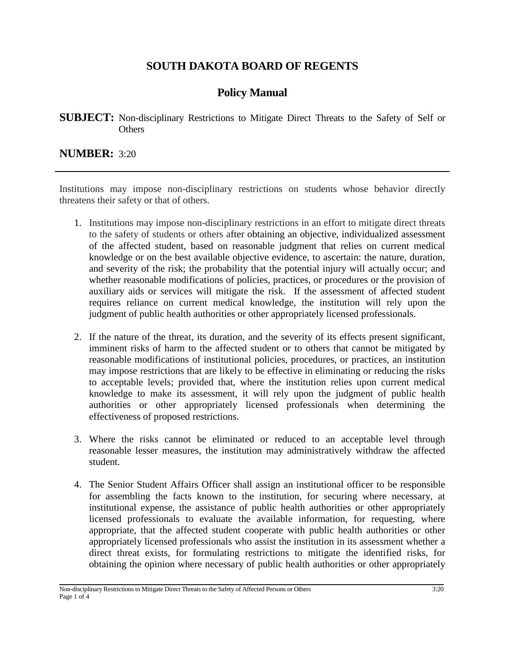## **SOUTH DAKOTA BOARD OF REGENTS**

## **Policy Manual**

**SUBJECT:** Non-disciplinary Restrictions to Mitigate Direct Threats to the Safety of Self or **Others** 

**NUMBER:** 3:20

Institutions may impose non-disciplinary restrictions on students whose behavior directly threatens their safety or that of others.

- 1. Institutions may impose non-disciplinary restrictions in an effort to mitigate direct threats to the safety of students or others after obtaining an objective, individualized assessment of the affected student, based on reasonable judgment that relies on current medical knowledge or on the best available objective evidence, to ascertain: the nature, duration, and severity of the risk; the probability that the potential injury will actually occur; and whether reasonable modifications of policies, practices, or procedures or the provision of auxiliary aids or services will mitigate the risk. If the assessment of affected student requires reliance on current medical knowledge, the institution will rely upon the judgment of public health authorities or other appropriately licensed professionals.
- 2. If the nature of the threat, its duration, and the severity of its effects present significant, imminent risks of harm to the affected student or to others that cannot be mitigated by reasonable modifications of institutional policies, procedures, or practices, an institution may impose restrictions that are likely to be effective in eliminating or reducing the risks to acceptable levels; provided that, where the institution relies upon current medical knowledge to make its assessment, it will rely upon the judgment of public health authorities or other appropriately licensed professionals when determining the effectiveness of proposed restrictions.
- 3. Where the risks cannot be eliminated or reduced to an acceptable level through reasonable lesser measures, the institution may administratively withdraw the affected student.
- 4. The Senior Student Affairs Officer shall assign an institutional officer to be responsible for assembling the facts known to the institution, for securing where necessary, at institutional expense, the assistance of public health authorities or other appropriately licensed professionals to evaluate the available information, for requesting, where appropriate, that the affected student cooperate with public health authorities or other appropriately licensed professionals who assist the institution in its assessment whether a direct threat exists, for formulating restrictions to mitigate the identified risks, for obtaining the opinion where necessary of public health authorities or other appropriately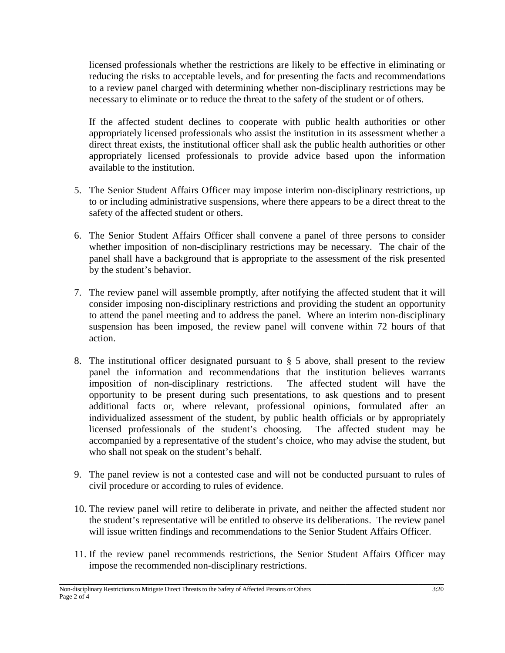licensed professionals whether the restrictions are likely to be effective in eliminating or reducing the risks to acceptable levels, and for presenting the facts and recommendations to a review panel charged with determining whether non-disciplinary restrictions may be necessary to eliminate or to reduce the threat to the safety of the student or of others.

If the affected student declines to cooperate with public health authorities or other appropriately licensed professionals who assist the institution in its assessment whether a direct threat exists, the institutional officer shall ask the public health authorities or other appropriately licensed professionals to provide advice based upon the information available to the institution.

- 5. The Senior Student Affairs Officer may impose interim non-disciplinary restrictions, up to or including administrative suspensions, where there appears to be a direct threat to the safety of the affected student or others.
- 6. The Senior Student Affairs Officer shall convene a panel of three persons to consider whether imposition of non-disciplinary restrictions may be necessary. The chair of the panel shall have a background that is appropriate to the assessment of the risk presented by the student's behavior.
- 7. The review panel will assemble promptly, after notifying the affected student that it will consider imposing non-disciplinary restrictions and providing the student an opportunity to attend the panel meeting and to address the panel. Where an interim non-disciplinary suspension has been imposed, the review panel will convene within 72 hours of that action.
- 8. The institutional officer designated pursuant to § 5 above, shall present to the review panel the information and recommendations that the institution believes warrants imposition of non-disciplinary restrictions. The affected student will have the opportunity to be present during such presentations, to ask questions and to present additional facts or, where relevant, professional opinions, formulated after an individualized assessment of the student, by public health officials or by appropriately licensed professionals of the student's choosing. The affected student may be accompanied by a representative of the student's choice, who may advise the student, but who shall not speak on the student's behalf.
- 9. The panel review is not a contested case and will not be conducted pursuant to rules of civil procedure or according to rules of evidence.
- 10. The review panel will retire to deliberate in private, and neither the affected student nor the student's representative will be entitled to observe its deliberations. The review panel will issue written findings and recommendations to the Senior Student Affairs Officer.
- 11. If the review panel recommends restrictions, the Senior Student Affairs Officer may impose the recommended non-disciplinary restrictions.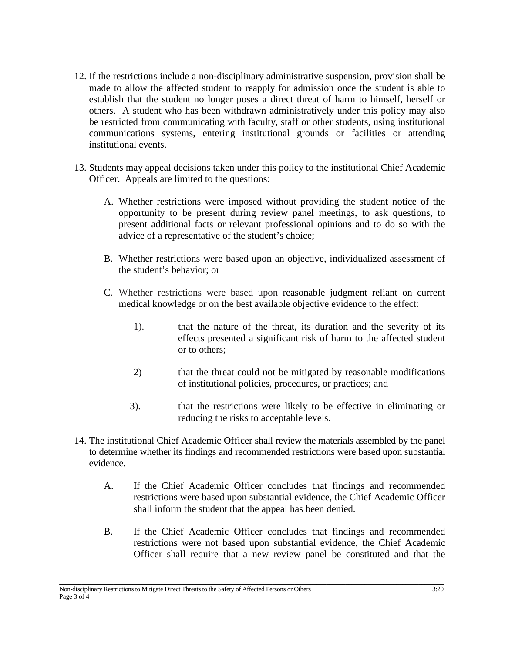- 12. If the restrictions include a non-disciplinary administrative suspension, provision shall be made to allow the affected student to reapply for admission once the student is able to establish that the student no longer poses a direct threat of harm to himself, herself or others. A student who has been withdrawn administratively under this policy may also be restricted from communicating with faculty, staff or other students, using institutional communications systems, entering institutional grounds or facilities or attending institutional events.
- 13. Students may appeal decisions taken under this policy to the institutional Chief Academic Officer. Appeals are limited to the questions:
	- A. Whether restrictions were imposed without providing the student notice of the opportunity to be present during review panel meetings, to ask questions, to present additional facts or relevant professional opinions and to do so with the advice of a representative of the student's choice;
	- B. Whether restrictions were based upon an objective, individualized assessment of the student's behavior; or
	- C. Whether restrictions were based upon reasonable judgment reliant on current medical knowledge or on the best available objective evidence to the effect:
		- 1). that the nature of the threat, its duration and the severity of its effects presented a significant risk of harm to the affected student or to others;
		- 2) that the threat could not be mitigated by reasonable modifications of institutional policies, procedures, or practices; and
		- 3). that the restrictions were likely to be effective in eliminating or reducing the risks to acceptable levels.
- 14. The institutional Chief Academic Officer shall review the materials assembled by the panel to determine whether its findings and recommended restrictions were based upon substantial evidence.
	- A. If the Chief Academic Officer concludes that findings and recommended restrictions were based upon substantial evidence, the Chief Academic Officer shall inform the student that the appeal has been denied.
	- B. If the Chief Academic Officer concludes that findings and recommended restrictions were not based upon substantial evidence, the Chief Academic Officer shall require that a new review panel be constituted and that the

**\_\_\_\_\_\_\_\_\_\_\_\_\_\_\_\_\_\_\_\_\_\_\_\_\_\_\_\_\_\_\_\_\_\_\_\_\_\_\_\_\_\_\_\_\_\_\_\_\_\_\_\_\_\_\_\_\_\_\_\_\_\_\_\_\_\_\_\_\_\_\_\_\_\_\_\_\_\_\_\_\_\_\_\_\_\_\_\_\_\_\_\_\_\_\_\_\_\_\_\_\_\_\_\_\_\_\_\_\_\_\_\_\_\_\_\_\_\_\_\_\_** Non-disciplinary Restrictions to Mitigate Direct Threats to the Safety of Affected Persons or Others 3:20 Page 3 of 4